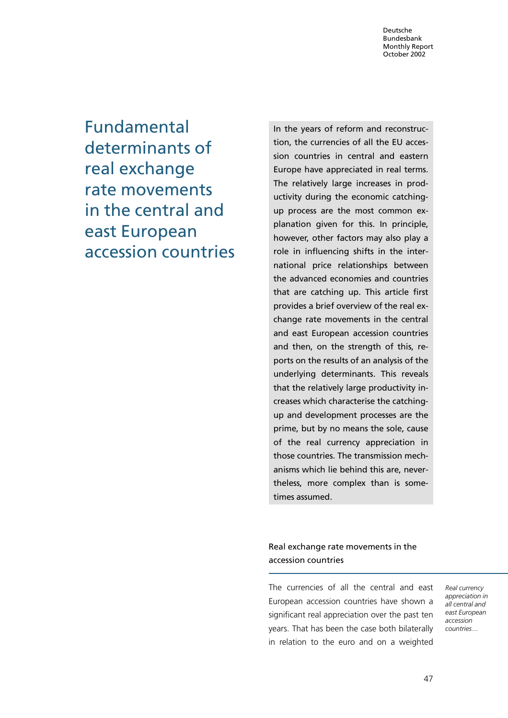Fundamental determinants of real exchange rate movements in the central and east European accession countries

In the years of reform and reconstruction, the currencies of all the EU accession countries in central and eastern Europe have appreciated in real terms. The relatively large increases in productivity during the economic catchingup process are the most common explanation given for this. In principle, however, other factors may also play a role in influencing shifts in the international price relationships between the advanced economies and countries that are catching up. This article first provides a brief overview of the real exchange rate movements in the central and east European accession countries and then, on the strength of this, reports on the results of an analysis of the underlying determinants. This reveals that the relatively large productivity increases which characterise the catchingup and development processes are the prime, but by no means the sole, cause of the real currency appreciation in those countries. The transmission mechanisms which lie behind this are, nevertheless, more complex than is sometimes assumed.

Real exchange rate movements in the accession countries

The currencies of all the central and east European accession countries have shown a significant real appreciation over the past ten years. That has been the case both bilaterally in relation to the euro and on a weighted

Real currency appreciation in all central and east European accession countries...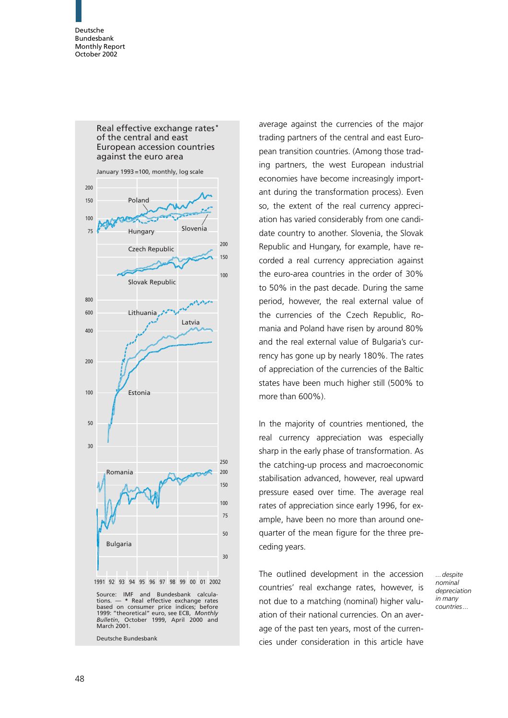

average against the currencies of the major trading partners of the central and east European transition countries. (Among those trading partners, the west European industrial economies have become increasingly important during the transformation process). Even so, the extent of the real currency appreciation has varied considerably from one candidate country to another. Slovenia, the Slovak Republic and Hungary, for example, have recorded a real currency appreciation against the euro-area countries in the order of 30% to 50% in the past decade. During the same period, however, the real external value of the currencies of the Czech Republic, Romania and Poland have risen by around 80% and the real external value of Bulgaria's currency has gone up by nearly 180%. The rates of appreciation of the currencies of the Baltic states have been much higher still (500% to more than 600%).

In the majority of countries mentioned, the real currency appreciation was especially sharp in the early phase of transformation. As the catching-up process and macroeconomic stabilisation advanced, however, real upward pressure eased over time. The average real rates of appreciation since early 1996, for example, have been no more than around onequarter of the mean figure for the three preceding years.

The outlined development in the accession countries' real exchange rates, however, is not due to a matching (nominal) higher valuation of their national currencies. On an average of the past ten years, most of the currencies under consideration in this article have ...despite nominal depreciation in many countries...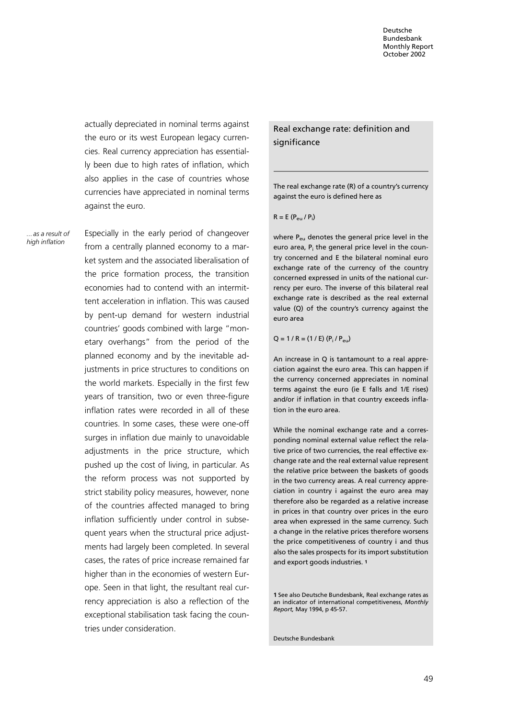actually depreciated in nominal terms against the euro or its west European legacy currencies. Real currency appreciation has essentially been due to high rates of inflation, which also applies in the case of countries whose currencies have appreciated in nominal terms against the euro.

... as a result of high inflation

Especially in the early period of changeover from a centrally planned economy to a market system and the associated liberalisation of the price formation process, the transition economies had to contend with an intermittent acceleration in inflation. This was caused by pent-up demand for western industrial countries' goods combined with large "monetary overhangs" from the period of the planned economy and by the inevitable adjustments in price structures to conditions on the world markets. Especially in the first few years of transition, two or even three-figure inflation rates were recorded in all of these countries. In some cases, these were one-off surges in inflation due mainly to unavoidable adjustments in the price structure, which pushed up the cost of living, in particular. As the reform process was not supported by strict stability policy measures, however, none of the countries affected managed to bring inflation sufficiently under control in subsequent years when the structural price adjustments had largely been completed. In several cases, the rates of price increase remained far higher than in the economies of western Europe. Seen in that light, the resultant real currency appreciation is also a reflection of the exceptional stabilisation task facing the countries under consideration.

Real exchange rate: definition and significance

The real exchange rate (R) of a country's currency against the euro is defined here as

 $R = E (P_{\text{eu}} / P_{\text{i}})$ 

where P<sub>eu</sub> denotes the general price level in the euro area,  $P_i$  the general price level in the country concerned and E the bilateral nominal euro exchange rate of the currency of the country concerned expressed in units of the national currency per euro. The inverse of this bilateral real exchange rate is described as the real external value (Q) of the country's currency against the euro area

 $Q = 1 / R = (1 / E) (P_i / P_{eu})$ 

An increase in Q is tantamount to a real appreciation against the euro area. This can happen if the currency concerned appreciates in nominal terms against the euro (ie E falls and 1/E rises) and/or if inflation in that country exceeds inflation in the euro area.

While the nominal exchange rate and a corresponding nominal external value reflect the relative price of two currencies, the real effective exchange rate and the real external value represent the relative price between the baskets of goods in the two currency areas. A real currency appreciation in country i against the euro area may therefore also be regarded as a relative increase in prices in that country over prices in the euro area when expressed in the same currency. Such a change in the relative prices therefore worsens the price competitiveness of country i and thus also the sales prospects for its import substitution and export goods industries. <sup>1</sup>

1 See also Deutsche Bundesbank, Real exchange rates as an indicator of international competitiveness, Monthly Report, May 1994, p 45-57.

Deutsche Bundesbank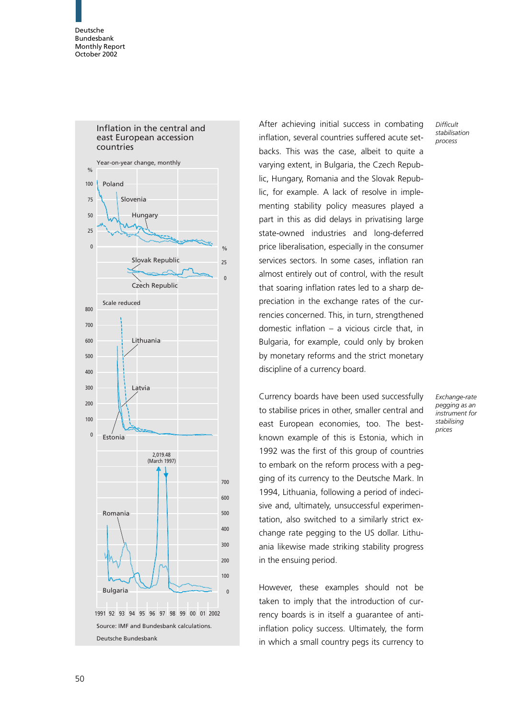

Inflation in the central and east European accession countries

After achieving initial success in combating inflation, several countries suffered acute setbacks. This was the case, albeit to quite a varying extent, in Bulgaria, the Czech Republic, Hungary, Romania and the Slovak Republic, for example. A lack of resolve in implementing stability policy measures played a part in this as did delays in privatising large state-owned industries and long-deferred price liberalisation, especially in the consumer services sectors. In some cases, inflation ran almost entirely out of control, with the result that soaring inflation rates led to a sharp depreciation in the exchange rates of the currencies concerned. This, in turn, strengthened domestic inflation – a vicious circle that, in Bulgaria, for example, could only by broken by monetary reforms and the strict monetary discipline of a currency board.

Currency boards have been used successfully to stabilise prices in other, smaller central and east European economies, too. The bestknown example of this is Estonia, which in 1992 was the first of this group of countries to embark on the reform process with a pegging of its currency to the Deutsche Mark. In 1994, Lithuania, following a period of indecisive and, ultimately, unsuccessful experimentation, also switched to a similarly strict exchange rate pegging to the US dollar. Lithuania likewise made striking stability progress in the ensuing period.

However, these examples should not be taken to imply that the introduction of currency boards is in itself a guarantee of antiinflation policy success. Ultimately, the form in which a small country pegs its currency to **Difficult** stabilisation process

Exchange-rate pegging as an instrument for stabilising prices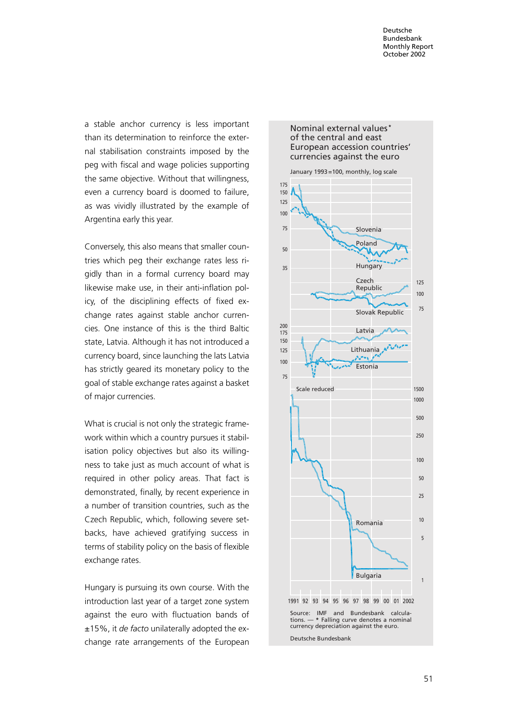a stable anchor currency is less important than its determination to reinforce the external stabilisation constraints imposed by the peg with fiscal and wage policies supporting the same objective. Without that willingness, even a currency board is doomed to failure, as was vividly illustrated by the example of Argentina early this year.

Conversely, this also means that smaller countries which peg their exchange rates less rigidly than in a formal currency board may likewise make use, in their anti-inflation policy, of the disciplining effects of fixed exchange rates against stable anchor currencies. One instance of this is the third Baltic state, Latvia. Although it has not introduced a currency board, since launching the lats Latvia has strictly geared its monetary policy to the goal of stable exchange rates against a basket of major currencies.

What is crucial is not only the strategic framework within which a country pursues it stabilisation policy objectives but also its willingness to take just as much account of what is required in other policy areas. That fact is demonstrated, finally, by recent experience in a number of transition countries, such as the Czech Republic, which, following severe setbacks, have achieved gratifying success in terms of stability policy on the basis of flexible exchange rates.

Hungary is pursuing its own course. With the introduction last year of a target zone system against the euro with fluctuation bands of  $±15%$ , it de facto unilaterally adopted the exchange rate arrangements of the European

### Nominal external values **\*** of the central and east European accession countries' currencies against the euro

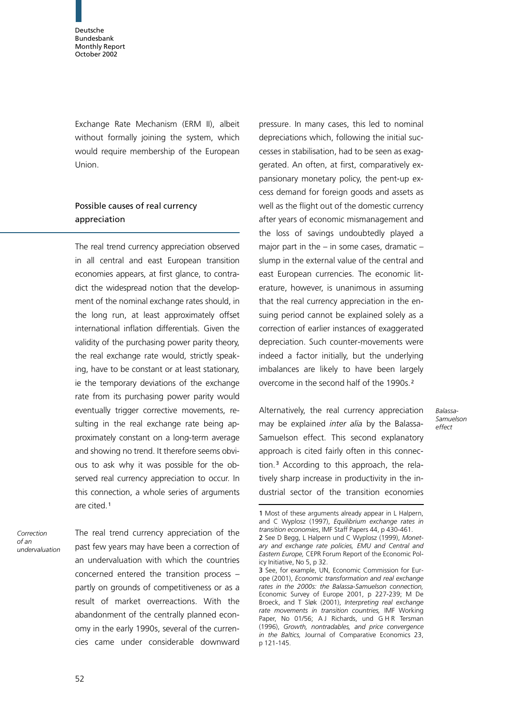Exchange Rate Mechanism (ERM II), albeit without formally joining the system, which would require membership of the European Union.

# Possible causes of real currency appreciation

The real trend currency appreciation observed in all central and east European transition economies appears, at first glance, to contradict the widespread notion that the development of the nominal exchange rates should, in the long run, at least approximately offset international inflation differentials. Given the validity of the purchasing power parity theory, the real exchange rate would, strictly speaking, have to be constant or at least stationary, ie the temporary deviations of the exchange rate from its purchasing power parity would eventually trigger corrective movements, resulting in the real exchange rate being approximately constant on a long-term average and showing no trend. It therefore seems obvious to ask why it was possible for the observed real currency appreciation to occur. In this connection, a whole series of arguments are cited.<sup>1</sup>

Correction of an undervaluation The real trend currency appreciation of the past few years may have been a correction of an undervaluation with which the countries concerned entered the transition process – partly on grounds of competitiveness or as a result of market overreactions. With the abandonment of the centrally planned economy in the early 1990s, several of the currencies came under considerable downward pressure. In many cases, this led to nominal depreciations which, following the initial successes in stabilisation, had to be seen as exaggerated. An often, at first, comparatively expansionary monetary policy, the pent-up excess demand for foreign goods and assets as well as the flight out of the domestic currency after years of economic mismanagement and the loss of savings undoubtedly played a major part in the  $-$  in some cases, dramatic  $$ slump in the external value of the central and east European currencies. The economic literature, however, is unanimous in assuming that the real currency appreciation in the ensuing period cannot be explained solely as a correction of earlier instances of exaggerated depreciation. Such counter-movements were indeed a factor initially, but the underlying imbalances are likely to have been largely overcome in the second half of the 1990s.<sup>2</sup>

Alternatively, the real currency appreciation may be explained *inter alia* by the Balassa-Samuelson effect. This second explanatory approach is cited fairly often in this connection.<sup>3</sup> According to this approach, the relatively sharp increase in productivity in the industrial sector of the transition economies

Balassa-**Samuelson** effect

<sup>1</sup> Most of these arguments already appear in L Halpern, and C Wyplosz (1997), Equilibrium exchange rates in transition economies, IMF Staff Papers 44, p 430-461. 2 See D Begg, L Halpern und C Wyplosz (1999), Monet-

ary and exchange rate policies, EMU and Central and Eastern Europe, CEPR Forum Report of the Economic Policy Initiative, No 5, p 32.

<sup>3</sup> See, for example, UN, Economic Commission for Europe (2001), Economic transformation and real exchange rates in the 2000s: the Balassa-Samuelson connection, Economic Survey of Europe 2001, p 227-239; M De Broeck, and T Sløk (2001), Interpreting real exchange rate movements in transition countries, IMF Working Paper, No 01/56; AJ Richards, und GHR Tersman (1996), Growth, nontradables, and price convergence in the Baltics, Journal of Comparative Economics 23, p 121-145.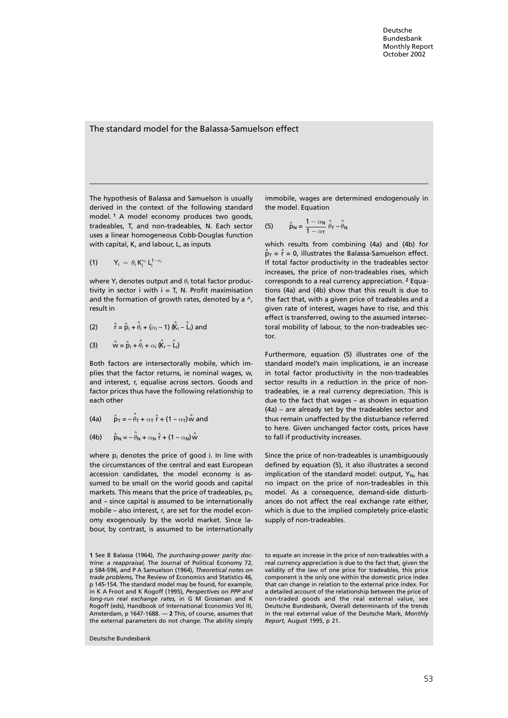### The standard model for the Balassa-Samuelson effect

The hypothesis of Balassa and Samuelson is usually derived in the context of the following standard model. <sup>1</sup> A model economy produces two goods, tradeables, T, and non-tradeables, N. Each sector uses a linear homogeneous Cobb-Douglas function with capital, K, and labour, L, as inputs

$$
(1) \qquad Y_i = \theta_i K_i^{\alpha_i} L_i^{1-\alpha_i}
$$

where  $Y_i$  denotes output and  $\theta_i$  total factor productivity in sector  $i$  with  $i = T$ , N. Profit maximisation and the formation of growth rates, denoted by a  $\wedge$ , result in

(2) 
$$
\hat{r} = \hat{p}_i + \hat{\theta}_i + (\alpha_i - 1) (\hat{k}_i - \hat{l}_i)
$$
 and

(3) 
$$
\hat{\mathsf{w}} = \hat{\mathsf{p}}_i + \hat{\theta}_i + \alpha_i \hat{\mathsf{k}}_i - \hat{\mathsf{L}}_i
$$

Both factors are intersectorally mobile, which implies that the factor returns, ie nominal wages, w, and interest, r, equalise across sectors. Goods and factor prices thus have the following relationship to each other

(4a) 
$$
\hat{p}_T = -\hat{\theta}_T + \alpha_T \hat{r} + (1 - \alpha_T) \hat{w}
$$
 and

(4b) 
$$
\hat{p}_N = -\hat{\theta}_N + \alpha_N \hat{r} + (1 - \alpha_N)\hat{w}
$$

where  $p_i$  denotes the price of good i. In line with the circumstances of the central and east European accession candidates, the model economy is assumed to be small on the world goods and capital markets. This means that the price of tradeables,  $p_T$ , and – since capital is assumed to be internationally mobile – also interest, r, are set for the model economy exogenously by the world market. Since labour, by contrast, is assumed to be internationally

Deutsche Bundesbank

immobile, wages are determined endogenously in the model. Equation

(5) 
$$
\hat{p}_N = \frac{1 - \alpha_N}{1 - \alpha_T} \hat{\theta}_T - \hat{\theta}_N
$$

which results from combining (4a) and (4b) for  $\hat{\mathsf{p}}_{\mathsf{T}} = \hat{\mathsf{r}} = 0$ , illustrates the Balassa-Samuelson effect. If total factor productivity in the tradeables sector increases, the price of non-tradeables rises, which corresponds to a real currency appreciation. <sup>2</sup> Equations (4a) and (4b) show that this result is due to the fact that, with a given price of tradeables and a given rate of interest, wages have to rise, and this effect is transferred, owing to the assumed intersectoral mobility of labour, to the non-tradeables sector.

Furthermore, equation (5) illustrates one of the standard model's main implications, ie an increase in total factor productivity in the non-tradeables sector results in a reduction in the price of nontradeables, ie a real currency depreciation. This is due to the fact that wages – as shown in equation (4a) – are already set by the tradeables sector and thus remain unaffected by the disturbance referred to here. Given unchanged factor costs, prices have to fall if productivity increases.

Since the price of non-tradeables is unambiguously defined by equation (5), it also illustrates a second implication of the standard model: output,  $Y_N$ , has no impact on the price of non-tradeables in this model. As a consequence, demand-side disturbances do not affect the real exchange rate either, which is due to the implied completely price-elastic supply of non-tradeables.

<sup>1</sup> See B Balassa (1964), The purchasing-power parity doctrine: a reappraisal, The Journal of Political Economy 72, p 584-596, and P A Samuelson (1964), Theoretical notes on trade problems, The Review of Economics and Statistics 46, p 145-154. The standard model may be found, for example, in K A Froot and K Rogoff (1995), Perspectives on PPP and long-run real exchange rates, in G M Grossman and K Rogoff (eds), Handbook of International Economics Vol III, Amsterdam, p 1647-1688. — 2 This, of course, assumes that the external parameters do not change. The ability simply

to equate an increase in the price of non-tradeables with a real currency appreciation is due to the fact that, given the validity of the law of one price for tradeables, this price component is the only one within the domestic price index that can change in relation to the external price index. For a detailed account of the relationship between the price of non-traded goods and the real external value, see Deutsche Bundesbank, Overall determinants of the trends in the real external value of the Deutsche Mark, Monthly Report, August 1995, p 21.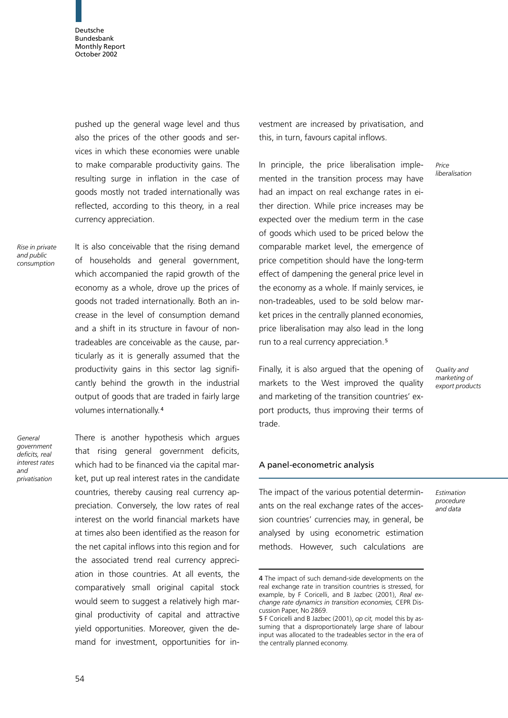pushed up the general wage level and thus also the prices of the other goods and services in which these economies were unable to make comparable productivity gains. The resulting surge in inflation in the case of goods mostly not traded internationally was reflected, according to this theory, in a real currency appreciation.

Rise in private and public consumption

It is also conceivable that the rising demand of households and general government, which accompanied the rapid growth of the economy as a whole, drove up the prices of goods not traded internationally. Both an increase in the level of consumption demand and a shift in its structure in favour of nontradeables are conceivable as the cause, particularly as it is generally assumed that the productivity gains in this sector lag significantly behind the growth in the industrial output of goods that are traded in fairly large volumes internationally.<sup>4</sup>

General government deficits, real interest rates and privatisation

There is another hypothesis which argues that rising general government deficits, which had to be financed via the capital market, put up real interest rates in the candidate countries, thereby causing real currency appreciation. Conversely, the low rates of real interest on the world financial markets have at times also been identified as the reason for the net capital inflows into this region and for the associated trend real currency appreciation in those countries. At all events, the comparatively small original capital stock would seem to suggest a relatively high marginal productivity of capital and attractive yield opportunities. Moreover, given the demand for investment, opportunities for investment are increased by privatisation, and this, in turn, favours capital inflows.

In principle, the price liberalisation implemented in the transition process may have had an impact on real exchange rates in either direction. While price increases may be expected over the medium term in the case of goods which used to be priced below the comparable market level, the emergence of price competition should have the long-term effect of dampening the general price level in the economy as a whole. If mainly services, ie non-tradeables, used to be sold below market prices in the centrally planned economies, price liberalisation may also lead in the long run to a real currency appreciation.<sup>5</sup>

Finally, it is also argued that the opening of markets to the West improved the quality and marketing of the transition countries' export products, thus improving their terms of trade.

Quality and marketing of export products

Price liberalisation

# A panel-econometric analysis

The impact of the various potential determinants on the real exchange rates of the accession countries' currencies may, in general, be analysed by using econometric estimation methods. However, such calculations are Estimation procedure and data

<sup>4</sup> The impact of such demand-side developments on the real exchange rate in transition countries is stressed, for example, by F Coricelli, and B Jazbec (2001), Real exchange rate dynamics in transition economies, CEPR Discussion Paper, No 2869.

<sup>5</sup> F Coricelli and B Jazbec (2001), op cit, model this by assuming that a disproportionately large share of labour input was allocated to the tradeables sector in the era of the centrally planned economy.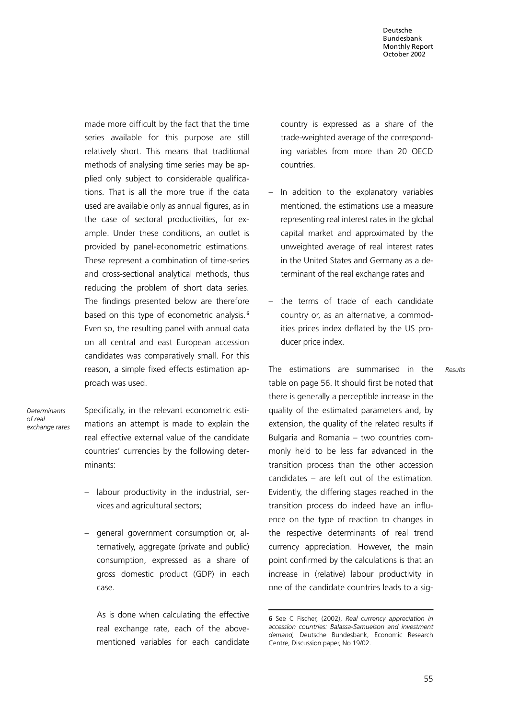made more difficult by the fact that the time series available for this purpose are still relatively short. This means that traditional methods of analysing time series may be applied only subject to considerable qualifications. That is all the more true if the data used are available only as annual figures, as in the case of sectoral productivities, for example. Under these conditions, an outlet is provided by panel-econometric estimations. These represent a combination of time-series and cross-sectional analytical methods, thus reducing the problem of short data series. The findings presented below are therefore based on this type of econometric analysis.<sup>6</sup> Even so, the resulting panel with annual data on all central and east European accession candidates was comparatively small. For this reason, a simple fixed effects estimation approach was used.

Determinants of real exchange rates Specifically, in the relevant econometric estimations an attempt is made to explain the real effective external value of the candidate countries' currencies by the following determinants:

- labour productivity in the industrial, services and agricultural sectors;
- general government consumption or, alternatively, aggregate (private and public) consumption, expressed as a share of gross domestic product (GDP) in each case.

As is done when calculating the effective real exchange rate, each of the abovementioned variables for each candidate country is expressed as a share of the trade-weighted average of the corresponding variables from more than 20 OECD countries.

- In addition to the explanatory variables mentioned, the estimations use a measure representing real interest rates in the global capital market and approximated by the unweighted average of real interest rates in the United States and Germany as a determinant of the real exchange rates and
- the terms of trade of each candidate country or, as an alternative, a commodities prices index deflated by the US producer price index.

The estimations are summarised in the table on page 56. It should first be noted that there is generally a perceptible increase in the quality of the estimated parameters and, by extension, the quality of the related results if Bulgaria and Romania – two countries commonly held to be less far advanced in the transition process than the other accession candidates – are left out of the estimation. Evidently, the differing stages reached in the transition process do indeed have an influence on the type of reaction to changes in the respective determinants of real trend currency appreciation. However, the main point confirmed by the calculations is that an increase in (relative) labour productivity in one of the candidate countries leads to a sigResults

<sup>6</sup> See C Fischer, (2002), Real currency appreciation in accession countries: Balassa-Samuelson and investment demand, Deutsche Bundesbank, Economic Research Centre, Discussion paper, No 19/02.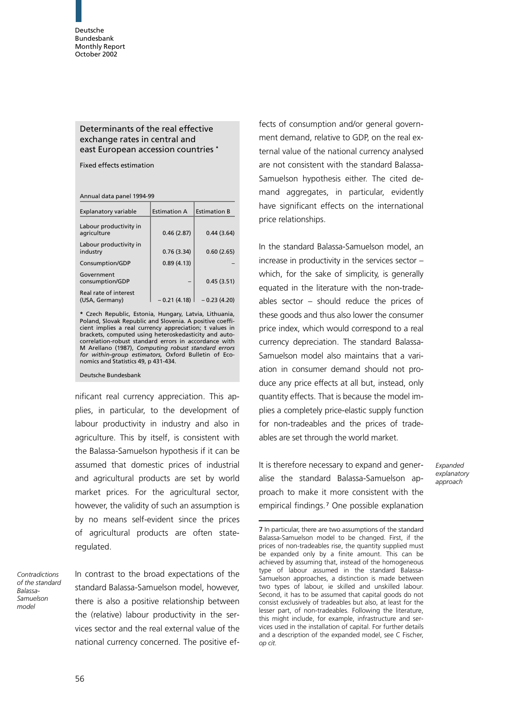# Determinants of the real effective exchange rates in central and east European accession countries \*

Fixed effects estimation

Annual data panel 1994-99

| Explanatory variable                    | <b>Estimation A</b> | <b>Estimation B</b> |
|-----------------------------------------|---------------------|---------------------|
| Labour productivity in<br>agriculture   | 0.46(2.87)          | 0.44(3.64)          |
| Labour productivity in<br>industry      | 0.76(3.34)          | 0.60(2.65)          |
| Consumption/GDP                         | 0.89(4.13)          |                     |
| Government<br>consumption/GDP           |                     | 0.45(3.51)          |
| Real rate of interest<br>(USA, Germany) | $-0.21(4.18)$       | $-0.23(4.20)$       |

\* Czech Republic, Estonia, Hungary, Latvia, Lithuania, Poland, Slovak Republic and Slovenia. A positive coefficient implies a real currency appreciation; t values in brackets, computed using heteroskedasticity and autocorrelation-robust standard errors in accordance with M Arellano (1987), Computing robust standard errors for within-group estimators, Oxford Bulletin of Economics and Statistics 49, p 431-434.

#### Deutsche Bundesbank

nificant real currency appreciation. This applies, in particular, to the development of labour productivity in industry and also in agriculture. This by itself, is consistent with the Balassa-Samuelson hypothesis if it can be assumed that domestic prices of industrial and agricultural products are set by world market prices. For the agricultural sector, however, the validity of such an assumption is by no means self-evident since the prices of agricultural products are often stateregulated.

Contradictions of the standard Balassa-Samuelson model

In contrast to the broad expectations of the standard Balassa-Samuelson model, however, there is also a positive relationship between the (relative) labour productivity in the services sector and the real external value of the national currency concerned. The positive effects of consumption and/or general government demand, relative to GDP, on the real external value of the national currency analysed are not consistent with the standard Balassa-Samuelson hypothesis either. The cited demand aggregates, in particular, evidently have significant effects on the international price relationships.

In the standard Balassa-Samuelson model, an increase in productivity in the services sector – which, for the sake of simplicity, is generally equated in the literature with the non-tradeables sector – should reduce the prices of these goods and thus also lower the consumer price index, which would correspond to a real currency depreciation. The standard Balassa-Samuelson model also maintains that a variation in consumer demand should not produce any price effects at all but, instead, only quantity effects. That is because the model implies a completely price-elastic supply function for non-tradeables and the prices of tradeables are set through the world market.

It is therefore necessary to expand and generalise the standard Balassa-Samuelson approach to make it more consistent with the empirical findings. <sup>7</sup> One possible explanation Expanded explanatory approach

<sup>7</sup> In particular, there are two assumptions of the standard Balassa-Samuelson model to be changed. First, if the prices of non-tradeables rise, the quantity supplied must be expanded only by a finite amount. This can be achieved by assuming that, instead of the homogeneous type of labour assumed in the standard Balassa-Samuelson approaches, a distinction is made between two types of labour, ie skilled and unskilled labour. Second, it has to be assumed that capital goods do not consist exclusively of tradeables but also, at least for the lesser part, of non-tradeables. Following the literature, this might include, for example, infrastructure and services used in the installation of capital. For further details and a description of the expanded model, see C Fischer, op cit.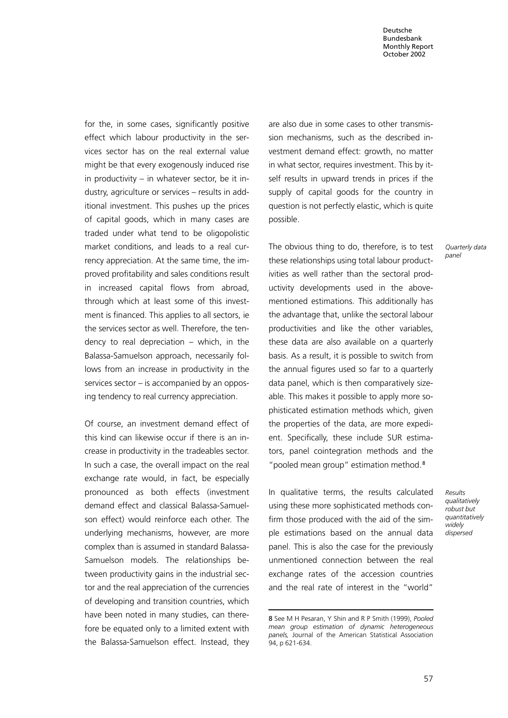for the, in some cases, significantly positive effect which labour productivity in the services sector has on the real external value might be that every exogenously induced rise in productivity – in whatever sector, be it industry, agriculture or services – results in additional investment. This pushes up the prices of capital goods, which in many cases are traded under what tend to be oligopolistic market conditions, and leads to a real currency appreciation. At the same time, the improved profitability and sales conditions result in increased capital flows from abroad, through which at least some of this investment is financed. This applies to all sectors, ie the services sector as well. Therefore, the tendency to real depreciation – which, in the Balassa-Samuelson approach, necessarily follows from an increase in productivity in the services sector – is accompanied by an opposing tendency to real currency appreciation.

Of course, an investment demand effect of this kind can likewise occur if there is an increase in productivity in the tradeables sector. In such a case, the overall impact on the real exchange rate would, in fact, be especially pronounced as both effects (investment demand effect and classical Balassa-Samuelson effect) would reinforce each other. The underlying mechanisms, however, are more complex than is assumed in standard Balassa-Samuelson models. The relationships between productivity gains in the industrial sector and the real appreciation of the currencies of developing and transition countries, which have been noted in many studies, can therefore be equated only to a limited extent with the Balassa-Samuelson effect. Instead, they are also due in some cases to other transmission mechanisms, such as the described investment demand effect: growth, no matter in what sector, requires investment. This by itself results in upward trends in prices if the supply of capital goods for the country in question is not perfectly elastic, which is quite possible.

The obvious thing to do, therefore, is to test these relationships using total labour productivities as well rather than the sectoral productivity developments used in the abovementioned estimations. This additionally has the advantage that, unlike the sectoral labour productivities and like the other variables, these data are also available on a quarterly basis. As a result, it is possible to switch from the annual figures used so far to a quarterly data panel, which is then comparatively sizeable. This makes it possible to apply more sophisticated estimation methods which, given the properties of the data, are more expedient. Specifically, these include SUR estimators, panel cointegration methods and the "pooled mean group" estimation method.<sup>8</sup>

In qualitative terms, the results calculated using these more sophisticated methods confirm those produced with the aid of the simple estimations based on the annual data panel. This is also the case for the previously unmentioned connection between the real exchange rates of the accession countries and the real rate of interest in the "world"

Quarterly data panel

Results qualitatively robust but quantitatively widely dispersed

<sup>8</sup> See M H Pesaran, Y Shin and R P Smith (1999), Pooled mean group estimation of dynamic heterogeneous panels, Journal of the American Statistical Association 94, p 621-634.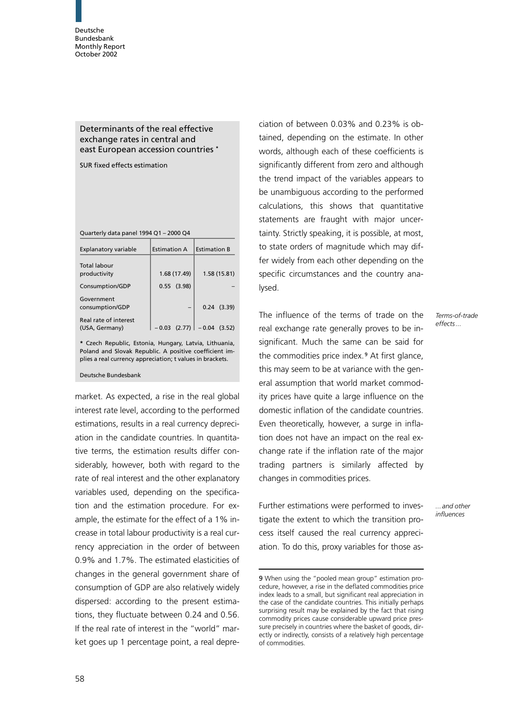## Determinants of the real effective exchange rates in central and east European accession countries \*

SUR fixed effects estimation

| Quarterly data panel 1994 Q1 - 2000 Q4 |  |  |
|----------------------------------------|--|--|
|----------------------------------------|--|--|

| <b>Explanatory variable</b>             | <b>Estimation A</b> | <b>Estimation B</b>            |
|-----------------------------------------|---------------------|--------------------------------|
| Total labour<br>productivity            | 1.68 (17.49)        | 1.58 (15.81)                   |
| Consumption/GDP                         | $0.55$ (3.98)       |                                |
| Government<br>consumption/GDP           |                     | $0.24$ $(3.39)$                |
| Real rate of interest<br>(USA, Germany) |                     | $-0.03$ (2.77) $ -0.04$ (3.52) |

\* Czech Republic, Estonia, Hungary, Latvia, Lithuania, Poland and Slovak Republic. A positive coefficient implies a real currency appreciation; t values in brackets.

#### Deutsche Bundesbank

market. As expected, a rise in the real global interest rate level, according to the performed estimations, results in a real currency depreciation in the candidate countries. In quantitative terms, the estimation results differ considerably, however, both with regard to the rate of real interest and the other explanatory variables used, depending on the specification and the estimation procedure. For example, the estimate for the effect of a 1% increase in total labour productivity is a real currency appreciation in the order of between 0.9% and 1.7%. The estimated elasticities of changes in the general government share of consumption of GDP are also relatively widely dispersed: according to the present estimations, they fluctuate between 0.24 and 0.56. If the real rate of interest in the "world" market goes up 1 percentage point, a real depre-

ciation of between 0.03% and 0.23% is obtained, depending on the estimate. In other words, although each of these coefficients is significantly different from zero and although the trend impact of the variables appears to be unambiguous according to the performed calculations, this shows that quantitative statements are fraught with major uncertainty. Strictly speaking, it is possible, at most, to state orders of magnitude which may differ widely from each other depending on the specific circumstances and the country analysed.

The influence of the terms of trade on the real exchange rate generally proves to be insignificant. Much the same can be said for the commodities price index. <sup>9</sup> At first glance, this may seem to be at variance with the general assumption that world market commodity prices have quite a large influence on the domestic inflation of the candidate countries. Even theoretically, however, a surge in inflation does not have an impact on the real exchange rate if the inflation rate of the major trading partners is similarly affected by changes in commodities prices.

Further estimations were performed to investigate the extent to which the transition process itself caused the real currency appreciation. To do this, proxy variables for those as-

Terms-of-trade effects...

...and other influences

<sup>9</sup> When using the "pooled mean group" estimation procedure, however, a rise in the deflated commodities price index leads to a small, but significant real appreciation in the case of the candidate countries. This initially perhaps surprising result may be explained by the fact that rising commodity prices cause considerable upward price pressure precisely in countries where the basket of goods, directly or indirectly, consists of a relatively high percentage of commodities.